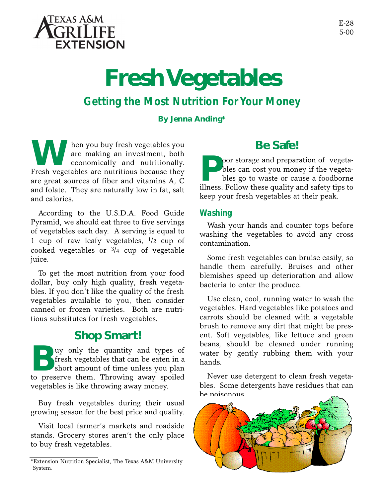

# **Fresh Vegetables**

# *Getting the Most Nutrition For Your Money*

#### **By Jenna Anding\***

**WARK** hen you buy fresh vegetables you are making an investment, both economically and nutritionally.<br>Fresh vegetables are nutritious because they are making an investment, both economically and nutritionally. are great sources of fiber and vitamins A, C and folate. They are naturally low in fat, salt and calories.

According to the U.S.D.A. Food Guide Pyramid, we should eat three to five servings of vegetables each day. A serving is equal to 1 cup of raw leafy vegetables, 1/2 cup of cooked vegetables or  $\frac{3}{4}$  cup of vegetable juice.

To get the most nutrition from your food dollar, buy only high quality, fresh vegetables. If you don't like the quality of the fresh vegetables available to you, then consider canned or frozen varieties. Both are nutritious substitutes for fresh vegetables.

## **Shop Smart!**

Buy only the quantity and types of fresh vegetables that can be eaten in a short amount of time unless you plan to preserve them. Throwing away spoiled uy only the quantity and types of fresh vegetables that can be eaten in a short amount of time unless you plan vegetables is like throwing away money.

Buy fresh vegetables during their usual growing season for the best price and quality.

Visit local farmer's markets and roadside stands. Grocery stores aren't the only place to buy fresh vegetables.

# **Be Safe!**

**P oor** storage and preparation of vegetables can cost you money if the vegetables go to waste or cause a foodborne illness. Follow these quality and safety tips to oor storage and preparation of vegetables can cost you money if the vegetables go to waste or cause a foodborne keep your fresh vegetables at their peak.

#### *Washing*

Wash your hands and counter tops before washing the vegetables to avoid any cross contamination.

Some fresh vegetables can bruise easily, so handle them carefully. Bruises and other blemishes speed up deterioration and allow bacteria to enter the produce.

Use clean, cool, running water to wash the vegetables. Hard vegetables like potatoes and carrots should be cleaned with a vegetable brush to remove any dirt that might be present. Soft vegetables, like lettuce and green beans, should be cleaned under running water by gently rubbing them with your hands.

Never use detergent to clean fresh vegetables. Some detergents have residues that can be poisonous.



<sup>\*</sup>Extension Nutrition Specialist, The Texas A&M University System.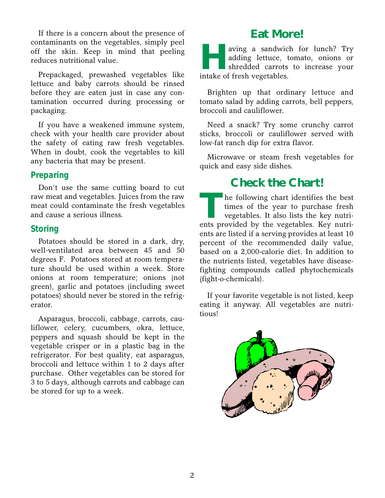If there is a concern about the presence of contaminants on the vegetables, simply peel off the skin. Keep in mind that peeling reduces nutritional value.

Prepackaged, prewashed vegetables like lettuce and baby carrots should be rinsed before they are eaten just in case any contamination occurred during processing or packaging.

If you have a weakened immune system, check with your health care provider about the safety of eating raw fresh vegetables. When in doubt, cook the vegetables to kill any bacteria that may be present.

#### *Preparing*

Don't use the same cutting board to cut raw meat and vegetables. Juices from the raw meat could contaminate the fresh vegetables and cause a serious illness.

#### *Storing*

Potatoes should be stored in a dark, dry, well-ventilated area between 45 and 50 degrees F. Potatoes stored at room temperature should be used within a week. Store onions at room temperature; onions (not green), garlic and potatoes (including sweet potatoes) should never be stored in the refrigerator.

Asparagus, broccoli, cabbage, carrots, cauliflower, celery, cucumbers, okra, lettuce, peppers and squash should be kept in the vegetable crisper or in a plastic bag in the refrigerator. For best quality, eat asparagus, broccoli and lettuce within 1 to 2 days after purchase. Other vegetables can be stored for 3 to 5 days, although carrots and cabbage can be stored for up to a week.

### **Eat More!**

**Hermannis Comparison School Separate School School School School School School School School School School School School School School School School School School School School School School School School School School Sc** aving a sandwich for lunch? Try adding lettuce, tomato, onions or shredded carrots to increase your

Brighten up that ordinary lettuce and tomato salad by adding carrots, bell peppers, broccoli and cauliflower.

Need a snack? Try some crunchy carrot sticks, broccoli or cauliflower served with low-fat ranch dip for extra flavor.

Microwave or steam fresh vegetables for quick and easy side dishes.

## **Check the Chart!**

The following chart identifies the best times of the year to purchase fresh vegetables. It also lists the key nutrients provided by the vegetables. Key nutrihe following chart identifies the best times of the year to purchase fresh vegetables. It also lists the key nutrients are listed if a serving provides at least 10 percent of the recommended daily value, based on a 2,000-calorie diet. In addition to the nutrients listed, vegetables have diseasefighting compounds called phytochemicals (fight-o-chemicals).

If your favorite vegetable is not listed, keep eating it anyway. All vegetables are nutritious!

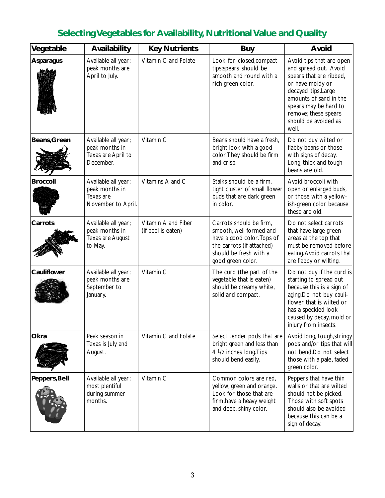# **Selecting Vegetables for Availability, Nutritional Value and Quality**

| Vegetable        | Availability                                                             | <b>Key Nutrients</b>                      | <b>Buy</b>                                                                                                                                                   | Avoid                                                                                                                                                                                                                              |
|------------------|--------------------------------------------------------------------------|-------------------------------------------|--------------------------------------------------------------------------------------------------------------------------------------------------------------|------------------------------------------------------------------------------------------------------------------------------------------------------------------------------------------------------------------------------------|
| <b>Asparagus</b> | Available all year;<br>peak months are<br>April to July.                 | Vitamin C and Folate                      | Look for closed, compact<br>tips;spears should be<br>smooth and round with a<br>rich green color.                                                            | Avoid tips that are open<br>and spread out. Avoid<br>spears that are ribbed,<br>or have moldy or<br>decayed tips.Large<br>amounts of sand in the<br>spears may be hard to<br>remove; these spears<br>should be avoided as<br>well. |
| Beans, Green     | Available all year;<br>peak months in<br>Texas are April to<br>December. | Vitamin C                                 | Beans should have a fresh,<br>bright look with a good<br>color. They should be firm<br>and crisp.                                                            | Do not buy wilted or<br>flabby beans or those<br>with signs of decay.<br>Long, thick and tough<br>beans are old.                                                                                                                   |
| <b>Broccoli</b>  | Available all year;<br>peak months in<br>Texas are<br>November to April. | Vitamins A and C                          | Stalks should be a firm,<br>tight cluster of small flower<br>buds that are dark green<br>in color.                                                           | Avoid broccoli with<br>open or enlarged buds,<br>or those with a yellow-<br>ish-green color because<br>these are old.                                                                                                              |
| Carrots          | Available all year;<br>peak months in<br>Texas are August<br>to May.     | Vitamin A and Fiber<br>(if peel is eaten) | Carrots should be firm,<br>smooth, well formed and<br>have a good color. Tops of<br>the carrots (if attached)<br>should be fresh with a<br>good green color. | Do not select carrots<br>that have large green<br>areas at the top that<br>must be removed before<br>eating. Avoid carrots that<br>are flabby or wilting.                                                                          |
| Cauliflower      | Available all year;<br>peak months are<br>September to<br>January.       | Vitamin C                                 | The curd (the part of the<br>vegetable that is eaten)<br>should be creamy white,<br>solid and compact.                                                       | Do not buy if the curd is<br>starting to spread out<br>because this is a sign of<br>aging.Do not buy cauli-<br>flower that is wilted or<br>has a speckled look<br>caused by decay, mold or<br>injury from insects.                 |
| Okra             | Peak season in<br>Texas is July and<br>August.                           | Vitamin C and Folate                      | Select tender pods that are<br>bright green and less than<br>4 <sup>1</sup> / <sub>2</sub> inches long. Tips<br>should bend easily.                          | Avoid long, tough, stringy<br>pods and/or tips that will<br>not bend.Do not select<br>those with a pale, faded<br>green color.                                                                                                     |
| Peppers, Bell    | Available all year;<br>most plentiful<br>during summer<br>months.        | Vitamin C                                 | Common colors are red,<br>yellow, green and orange.<br>Look for those that are<br>firm, have a heavy weight<br>and deep, shiny color.                        | Peppers that have thin<br>walls or that are wilted<br>should not be picked.<br>Those with soft spots<br>should also be avoided<br>because this can be a<br>sign of decay.                                                          |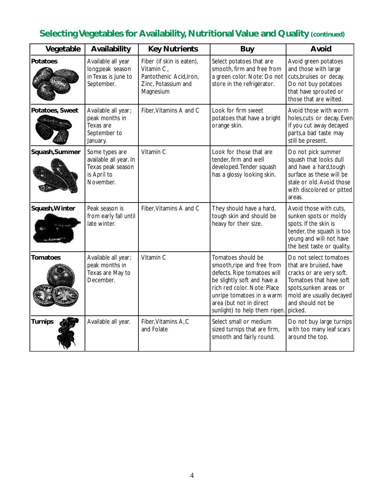# **Selecting Vegetables for Availability, Nutritional Value and Quality (continued)**

| Vegetable       | Availability                                                                              | <b>Key Nutrients</b>                                                                                   | <b>Buy</b>                                                                                                                                                                                                                             | Avoid                                                                                                                                                                                         |
|-----------------|-------------------------------------------------------------------------------------------|--------------------------------------------------------------------------------------------------------|----------------------------------------------------------------------------------------------------------------------------------------------------------------------------------------------------------------------------------------|-----------------------------------------------------------------------------------------------------------------------------------------------------------------------------------------------|
| Potatoes        | Available all year<br>long;peak season<br>in Texas is June to<br>September.               | Fiber (if skin is eaten),<br>Vitamin C,<br>Pantothenic Acid, Iron,<br>Zinc, Potassium and<br>Magnesium | Select potatoes that are<br>smooth, firm and free from<br>a green color. Note: Do not<br>store in the refrigerator.                                                                                                                    | Avoid green potatoes<br>and those with large<br>cuts, bruises or decay.<br>Do not buy potatoes<br>that have sprouted or<br>those that are wilted.                                             |
| Potatoes, Sweet | Available all year;<br>peak months in<br>Texas are<br>September to<br>January.            | Fiber, Vitamins A and C                                                                                | Look for firm sweet<br>potatoes that have a bright<br>orange skin.                                                                                                                                                                     | Avoid those with worm<br>holes, cuts or decay. Even<br>if you cut away decayed<br>parts,a bad taste may<br>still be present.                                                                  |
| Squash, Summer  | Some types are<br>available all year. In<br>Texas peak season<br>is April to<br>November. | Vitamin C                                                                                              | Look for those that are<br>tender, firm and well<br>developed. Tender squash<br>has a glossy looking skin.                                                                                                                             | Do not pick summer<br>squash that looks dull<br>and have a hard, tough<br>surface as these will be<br>stale or old. Avoid those<br>with discolored or pitted<br>areas.                        |
| Squash, Winter  | Peak season is<br>from early fall until<br>late winter.                                   | Fiber, Vitamins A and C                                                                                | They should have a hard,<br>tough skin and should be<br>heavy for their size.                                                                                                                                                          | Avoid those with cuts,<br>sunken spots or moldy<br>spots. If the skin is<br>tender, the squash is too<br>young and will not have<br>the best taste or quality.                                |
| <b>Tomatoes</b> | Available all year;<br>peak months in<br>Texas are May to<br>December.                    | Vitamin C                                                                                              | Tomatoes should be<br>smooth, ripe and free from<br>defects. Ripe tomatoes will<br>be slightly soft and have a<br>rich red color. Note: Place<br>unripe tomatoes in a warm<br>area (but not in direct<br>sunlight) to help them ripen. | Do not select tomatoes<br>that are bruised, have<br>cracks or are very soft.<br>Tomatoes that have soft<br>spots, sunken areas or<br>mold are usually decayed<br>and should not be<br>picked. |
| <b>Turnips</b>  | Available all year.                                                                       | Fiber, Vitamins A, C<br>and Folate                                                                     | Select small or medium<br>sized turnips that are firm,<br>smooth and fairly round.                                                                                                                                                     | Do not buy large turnips<br>with too many leaf scars<br>around the top.                                                                                                                       |